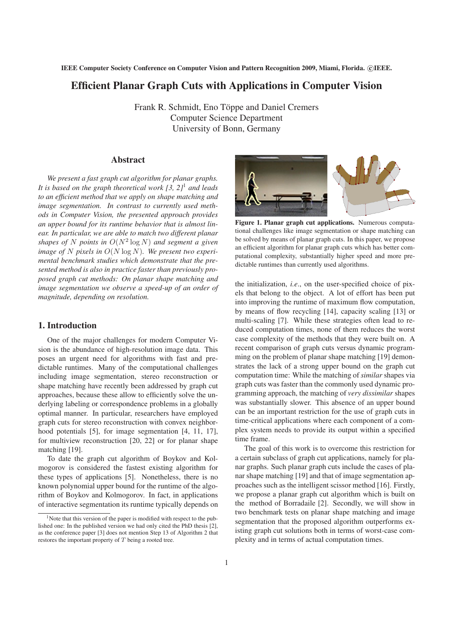**IEEE Computer Society Conference on Computer Vision and Pattern Recognition 2009, Miami, Florida. (C) IEEE.** 

# **Efficient Planar Graph Cuts with Applications in Computer Vision**

Frank R. Schmidt, Eno Töppe and Daniel Cremers Computer Science Department University of Bonn, Germany

# **Abstract**

*We present a fast graph cut algorithm for planar graphs. It is based on the graph theoretical work [3, 2]*<sup>1</sup> *and leads to an efficient method that we apply on shape matching and image segmentation. In contrast to currently used methods in Computer Vision, the presented approach provides an upper bound for its runtime behavior that is almost linear. In particular, we are able to match two different planar shapes of* N *points in* O(N<sup>2</sup> log N) *and segment a given image of* N *pixels in* O(N log N)*. We present two experimental benchmark studies which demonstrate that the presented method is also in practice faster than previously proposed graph cut methods: On planar shape matching and image segmentation we observe a speed-up of an order of magnitude, depending on resolution.*

### **1. Introduction**

One of the major challenges for modern Computer Vision is the abundance of high-resolution image data. This poses an urgent need for algorithms with fast and predictable runtimes. Many of the computational challenges including image segmentation, stereo reconstruction or shape matching have recently been addressed by graph cut approaches, because these allow to efficiently solve the underlying labeling or correspondence problems in a globally optimal manner. In particular, researchers have employed graph cuts for stereo reconstruction with convex neighborhood potentials [5], for image segmentation [4, 11, 17], for multiview reconstruction [20, 22] or for planar shape matching [19].

To date the graph cut algorithm of Boykov and Kolmogorov is considered the fastest existing algorithm for these types of applications [5]. Nonetheless, there is no known polynomial upper bound for the runtime of the algorithm of Boykov and Kolmogorov. In fact, in applications of interactive segmentation its runtime typically depends on



**Figure 1. Planar graph cut applications.** Numerous computational challenges like image segmentation or shape matching can be solved by means of planar graph cuts. In this paper, we propose an efficient algorithm for planar graph cuts which has better computational complexity, substantially higher speed and more predictable runtimes than currently used algorithms.

the initialization, *i.e*., on the user-specified choice of pixels that belong to the object. A lot of effort has been put into improving the runtime of maximum flow computation, by means of flow recycling [14], capacity scaling [13] or multi-scaling [7]. While these strategies often lead to reduced computation times, none of them reduces the worst case complexity of the methods that they were built on. A recent comparison of graph cuts versus dynamic programming on the problem of planar shape matching [19] demonstrates the lack of a strong upper bound on the graph cut computation time: While the matching of *similar* shapes via graph cuts was faster than the commonly used dynamic programming approach, the matching of *very dissimilar* shapes was substantially slower. This absence of an upper bound can be an important restriction for the use of graph cuts in time-critical applications where each component of a complex system needs to provide its output within a specified time frame.

The goal of this work is to overcome this restriction for a certain subclass of graph cut applications, namely for planar graphs. Such planar graph cuts include the cases of planar shape matching [19] and that of image segmentation approaches such as the intelligent scissor method [16]. Firstly, we propose a planar graph cut algorithm which is built on the method of Borradaile [2]. Secondly, we will show in two benchmark tests on planar shape matching and image segmentation that the proposed algorithm outperforms existing graph cut solutions both in terms of worst-case complexity and in terms of actual computation times.

<sup>&</sup>lt;sup>1</sup>Note that this version of the paper is modified with respect to the published one: In the published version we had only cited the PhD thesis [2], as the conference paper [3] does not mention Step 13 of Algorithm 2 that restores the important property of T being a rooted tree.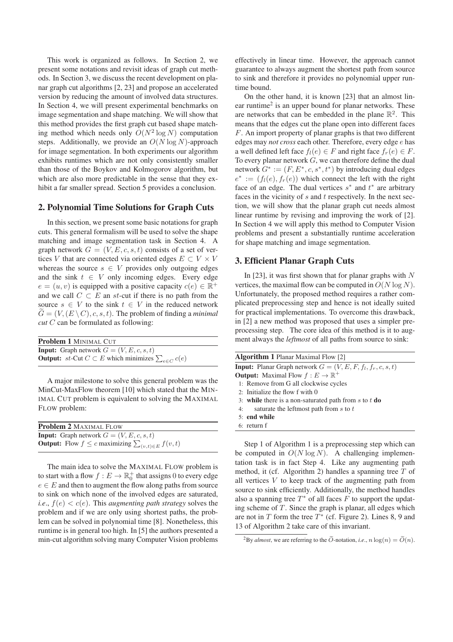This work is organized as follows. In Section 2, we present some notations and revisit ideas of graph cut methods. In Section 3, we discuss the recent development on planar graph cut algorithms [2, 23] and propose an accelerated version by reducing the amount of involved data structures. In Section 4, we will present experimental benchmarks on image segmentation and shape matching. We will show that this method provides the first graph cut based shape matching method which needs only  $O(N^2 \log N)$  computation steps. Additionally, we provide an  $O(N \log N)$ -approach for image segmentation. In both experiments our algorithm exhibits runtimes which are not only consistently smaller than those of the Boykov and Kolmogorov algorithm, but which are also more predictable in the sense that they exhibit a far smaller spread. Section 5 provides a conclusion.

# **2. Polynomial Time Solutions for Graph Cuts**

In this section, we present some basic notations for graph cuts. This general formalism will be used to solve the shape matching and image segmentation task in Section 4. A graph network  $G = (V, E, c, s, t)$  consists of a set of vertices V that are connected via oriented edges  $E \subset V \times V$ whereas the source  $s \in V$  provides only outgoing edges and the sink  $t \in V$  only incoming edges. Every edge  $e = (u, v)$  is equipped with a positive capacity  $c(e) \in \mathbb{R}^+$ and we call  $C \subset E$  an st-cut if there is no path from the source  $s \in V$  to the sink  $t \in V$  in the reduced network  $\tilde{G} = (V,(E \setminus C), c, s, t)$ . The problem of finding a *minimal cut* C can be formulated as following:

| Problem 1 MINIMAL CUT                                                     |  |  |  |  |
|---------------------------------------------------------------------------|--|--|--|--|
| <b>Input:</b> Graph network $G = (V, E, c, s, t)$                         |  |  |  |  |
| <b>Output:</b> st-Cut $C \subset E$ which minimizes $\sum_{e \in C} c(e)$ |  |  |  |  |

A major milestone to solve this general problem was the MinCut-MaxFlow theorem [10] which stated that the MIN-IMAL CUT problem is equivalent to solving the MAXIMAL FLOW problem:

| <b>Problem 2 MAXIMAL FLOW</b>                                         |  |  |  |  |
|-----------------------------------------------------------------------|--|--|--|--|
| <b>Input:</b> Graph network $G = (V, E, c, s, t)$                     |  |  |  |  |
| <b>Output:</b> Flow $f \leq c$ maximizing $\sum_{(v,t) \in E} f(v,t)$ |  |  |  |  |

The main idea to solve the MAXIMAL FLOW problem is to start with a flow  $f: E \to \mathbb{R}^+_0$  that assigns 0 to every edge  $e \in E$  and then to augment the flow along paths from source to sink on which none of the involved edges are saturated, *i.e.,*  $f(e) < c(e)$ . This *augmenting path strategy* solves the problem and if we are only using shortest paths, the problem can be solved in polynomial time [8]. Nonetheless, this runtime is in general too high. In [5] the authors presented a min-cut algorithm solving many Computer Vision problems effectively in linear time. However, the approach cannot guarantee to always augment the shortest path from source to sink and therefore it provides no polynomial upper runtime bound.

On the other hand, it is known [23] that an almost linear runtime<sup>2</sup> is an upper bound for planar networks. These are networks that can be embedded in the plane  $\mathbb{R}^2$ . This means that the edges cut the plane open into different faces F. An import property of planar graphs is that two different edges may *not cross* each other. Therefore, every edge e has a well defined left face  $f_l(e) \in F$  and right face  $f_r(e) \in F$ . To every planar network  $G$ , we can therefore define the dual network  $G^* := (F, E^*, c, s^*, t^*)$  by introducing dual edges  $e^* := (f_l(e), f_r(e))$  which connect the left with the right face of an edge. The dual vertices  $s^*$  and  $t^*$  are arbitrary faces in the vicinity of  $s$  and  $t$  respectively. In the next section, we will show that the planar graph cut needs almost linear runtime by revising and improving the work of [2]. In Section 4 we will apply this method to Computer Vision problems and present a substantially runtime acceleration for shape matching and image segmentation.

#### **3. Efficient Planar Graph Cuts**

In [23], it was first shown that for planar graphs with  $N$ vertices, the maximal flow can be computed in  $O(N \log N)$ . Unfortunately, the proposed method requires a rather complicated preprocessing step and hence is not ideally suited for practical implementations. To overcome this drawback, in [2] a new method was proposed that uses a simpler preprocessing step. The core idea of this method is it to augment always the *leftmost* of all paths from source to sink:

| <b>Algorithm 1 Planar Maximal Flow [2]</b>                            |
|-----------------------------------------------------------------------|
| <b>Input:</b> Planar Graph network $G = (V, E, F, f_1, f_r, c, s, t)$ |
| <b>Output:</b> Maximal Flow $f : E \to \mathbb{R}^+$                  |
| 1: Remove from G all clockwise cycles                                 |
| 2: Initialize the flow $f$ with $0$                                   |
| 3: while there is a non-saturated path from s to t do                 |
| saturate the leftmost path from s to t<br>4:                          |
| 5: end while                                                          |
| $6:$ return $f$                                                       |
|                                                                       |

Step 1 of Algorithm 1 is a preprocessing step which can be computed in  $O(N \log N)$ . A challenging implementation task is in fact Step 4. Like any augmenting path method, it (cf. Algorithm 2) handles a spanning tree  $T$  of all vertices  $V$  to keep track of the augmenting path from source to sink efficiently. Additionally, the method handles also a spanning tree  $T^*$  of all faces  $\overrightarrow{F}$  to support the updating scheme of  $T$ . Since the graph is planar, all edges which are not in T form the tree  $T^*$  (cf. Figure 2). Lines 8, 9 and 13 of Algorithm 2 take care of this invariant.

<sup>&</sup>lt;sup>2</sup>By *almost*, we are referring to the  $\tilde{O}$ -notation, *i.e.*,  $n \log(n) = \tilde{O}(n)$ .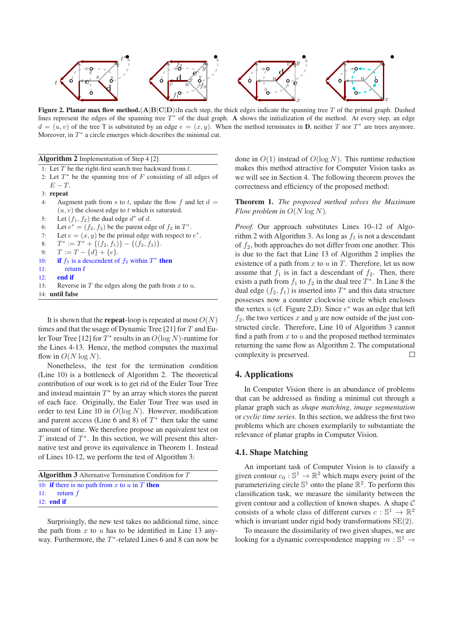

**Figure 2. Planar max flow method.**(A|B|C|D)**:**In each step, the thick edges indicate the spanning tree T of the primal graph. Dashed lines represent the edges of the spanning tree  $T^*$  of the dual graph. A shows the initialization of the method. At every step, an edge  $d = (u, v)$  of the tree T is substituted by an edge  $e = (x, y)$ . When the method terminates in **D**, neither T nor T<sup>\*</sup> are trees anymore. Moreover, in  $T^*$  a circle emerges which describes the minimal cut.

|  |  | Algorithm 2 Implementation of Step 4 [2] |  |  |  |
|--|--|------------------------------------------|--|--|--|
|--|--|------------------------------------------|--|--|--|

1: Let  $T$  be the right-first search tree backward from  $t$ .

- 2: Let  $T^*$  be the spanning tree of  $F$  consisting of all edges of
- $E-T$ . 3: **repeat**
- 4: Augment path from s to t, update the flow f and let  $d =$  $(u, v)$  the closest edge to t which is saturated.
- 5: Let  $(f_1, f_2)$  the dual edge  $d^*$  of d.
- 6: Let  $e^* = (f_2, f_3)$  be the parent edge of  $f_2$  in  $T^*$ .
- 7: Let  $e = (x, y)$  be the primal edge with respect to  $e^*$ .
- 8:  $T^* := T^* + \{(f_2, f_1)\} \{(f_2, f_3)\}.$
- 9:  $T := T \{d\} + \{e\}.$
- 10: **if**  $f_1$  is a descendent of  $f_2$  within  $T^*$  then
- 11: return f
- 12: **end if**
- 13: Reverse in  $T$  the edges along the path from  $x$  to  $u$ . 14: **until false**

It is shown that the **repeat**-loop is repeated at most  $O(N)$ times and that the usage of Dynamic Tree [21] for  $T$  and Euler Tour Tree [12] for  $T^*$  results in an  $O(\log N)$ -runtime for the Lines 4-13. Hence, the method computes the maximal flow in  $O(N \log N)$ .

Nonetheless, the test for the termination condition (Line 10) is a bottleneck of Algorithm 2. The theoretical contribution of our work is to get rid of the Euler Tour Tree and instead maintain  $T^*$  by an array which stores the parent of each face. Originally, the Euler Tour Tree was used in order to test Line 10 in  $O(\log N)$ . However, modification and parent access (Line 6 and 8) of  $T^*$  then take the same amount of time. We therefore propose an equivalent test on T instead of  $T^*$ . In this section, we will present this alternative test and prove its equivalence in Theorem 1. Instead of Lines 10-12, we perform the test of Algorithm 3:

| <b>Algorithm 3</b> Alternative Termination Condition for $T$ |                                                      |  |  |  |  |
|--------------------------------------------------------------|------------------------------------------------------|--|--|--|--|
|                                                              | 10: <b>if</b> there is no path from x to u in T then |  |  |  |  |
|                                                              | 11: return $f$                                       |  |  |  |  |
|                                                              | $12:$ end if                                         |  |  |  |  |

Surprisingly, the new test takes no additional time, since the path from  $x$  to  $u$  has to be identified in Line 13 anyway. Furthermore, the  $T^*$ -related Lines 6 and 8 can now be

done in  $O(1)$  instead of  $O(\log N)$ . This runtime reduction makes this method attractive for Computer Vision tasks as we will see in Section 4. The following theorem proves the correctness and efficiency of the proposed method:

**Theorem 1.** *The proposed method solves the Maximum Flow problem in*  $O(N \log N)$ *.* 

*Proof.* Our approach substitutes Lines 10–12 of Algorithm 2 with Algorithm 3. As long as  $f_1$  is not a descendant of  $f_2$ , both approaches do not differ from one another. This is due to the fact that Line 13 of Algorithm 2 implies the existence of a path from  $x$  to  $u$  in  $T$ . Therefore, let us now assume that  $f_1$  is in fact a descendant of  $f_2$ . Then, there exists a path from  $f_1$  to  $f_2$  in the dual tree  $T^*$ . In Line 8 the dual edge  $(f_2, f_1)$  is inserted into  $T^*$  and this data structure possesses now a counter clockwise circle which encloses the vertex u (cf. Figure 2,D). Since  $e^*$  was an edge that left  $f_2$ , the two vertices x and y are now outside of the just constructed circle. Therefore, Line 10 of Algorithm 3 cannot find a path from  $x$  to  $u$  and the proposed method terminates returning the same flow as Algorithm 2. The computational complexity is preserved.  $\Box$ 

#### **4. Applications**

In Computer Vision there is an abundance of problems that can be addressed as finding a minimal cut through a planar graph such as *shape matching*, *image segmentation* or *cyclic time series*. In this section, we address the first two problems which are chosen exemplarily to substantiate the relevance of planar graphs in Computer Vision.

#### **4.1. Shape Matching**

An important task of Computer Vision is to classify a given contour  $c_0 : \mathbb{S}^1 \to \mathbb{R}^2$  which maps every point of the parameterizing circle  $\mathbb{S}^1$  onto the plane  $\mathbb{R}^2$ . To perform this classification task, we measure the similarity between the given contour and a collection of known shapes. A shape C consists of a whole class of different curves  $c : \mathbb{S}^1 \to \mathbb{R}^2$ which is invariant under rigid body transformations  $SE(2)$ .

To measure the dissimilarity of two given shapes, we are looking for a dynamic correspondence mapping  $m : \mathbb{S}^1 \to$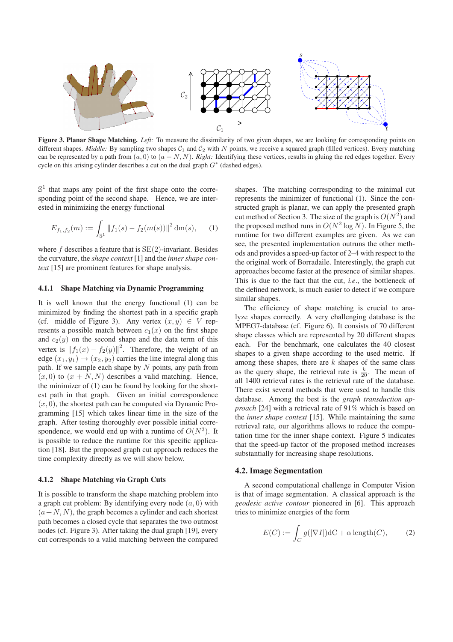

**Figure 3. Planar Shape Matching.** *Left:* To measure the dissimilarity of two given shapes, we are looking for corresponding points on different shapes. *Middle:* By sampling two shapes  $C_1$  and  $C_2$  with N points, we receive a squared graph (filled vertices). Every matching can be represented by a path from  $(a, 0)$  to  $(a + N, N)$ . *Right:* Identifying these vertices, results in gluing the red edges together. Every cycle on this arising cylinder describes a cut on the dual graph  $G^*$  (dashed edges).

 $\mathbb{S}^1$  that maps any point of the first shape onto the corresponding point of the second shape. Hence, we are interested in minimizing the energy functional

$$
E_{f_1,f_2}(m) := \int_{\mathbb{S}^1} \|f_1(s) - f_2(m(s))\|^2 \, dm(s), \qquad (1)
$$

where  $f$  describes a feature that is  $SE(2)$ -invariant. Besides the curvature, the *shape context* [1] and the *inner shape context* [15] are prominent features for shape analysis.

#### **4.1.1 Shape Matching via Dynamic Programming**

It is well known that the energy functional (1) can be minimized by finding the shortest path in a specific graph (cf. middle of Figure 3). Any vertex  $(x, y) \in V$  represents a possible match between  $c_1(x)$  on the first shape and  $c_2(y)$  on the second shape and the data term of this vertex is  $||f_1(x) - f_2(y)||^2$ . Therefore, the weight of an edge  $(x_1, y_1) \rightarrow (x_2, y_2)$  carries the line integral along this path. If we sample each shape by  $N$  points, any path from  $(x, 0)$  to  $(x + N, N)$  describes a valid matching. Hence, the minimizer of (1) can be found by looking for the shortest path in that graph. Given an initial correspondence  $(x, 0)$ , the shortest path can be computed via Dynamic Programming [15] which takes linear time in the size of the graph. After testing thoroughly ever possible initial correspondence, we would end up with a runtime of  $O(N^3)$ . It is possible to reduce the runtime for this specific application [18]. But the proposed graph cut approach reduces the time complexity directly as we will show below.

#### **4.1.2 Shape Matching via Graph Cuts**

It is possible to transform the shape matching problem into a graph cut problem: By identifying every node  $(a, 0)$  with  $(a+N, N)$ , the graph becomes a cylinder and each shortest path becomes a closed cycle that separates the two outmost nodes (cf. Figure 3). After taking the dual graph [19], every cut corresponds to a valid matching between the compared shapes. The matching corresponding to the minimal cut represents the minimizer of functional (1). Since the constructed graph is planar, we can apply the presented graph cut method of Section 3. The size of the graph is  $O(N^2)$  and the proposed method runs in  $O(N^2 \log N)$ . In Figure 5, the runtime for two different examples are given. As we can see, the presented implementation outruns the other methods and provides a speed-up factor of 2–4 with respect to the the original work of Borradaile. Interestingly, the graph cut approaches become faster at the presence of similar shapes. This is due to the fact that the cut, *i.e*., the bottleneck of the defined network, is much easier to detect if we compare similar shapes.

The efficiency of shape matching is crucial to analyze shapes correctly. A very challenging database is the MPEG7-database (cf. Figure 6). It consists of 70 different shape classes which are represented by 20 different shapes each. For the benchmark, one calculates the 40 closest shapes to a given shape according to the used metric. If among these shapes, there are  $k$  shapes of the same class as the query shape, the retrieval rate is  $\frac{k}{20}$ . The mean of all 1400 retrieval rates is the retrieval rate of the database. There exist several methods that were used to handle this database. Among the best is the *graph transduction approach* [24] with a retrieval rate of 91% which is based on the *inner shape context* [15]. While maintaining the same retrieval rate, our algorithms allows to reduce the computation time for the inner shape context. Figure 5 indicates that the speed-up factor of the proposed method increases substantially for increasing shape resolutions.

#### **4.2. Image Segmentation**

A second computational challenge in Computer Vision is that of image segmentation. A classical approach is the *geodesic active contour* pioneered in [6]. This approach tries to minimize energies of the form

$$
E(C) := \int_C g(|\nabla I|) dC + \alpha \operatorname{length}(C), \qquad (2)
$$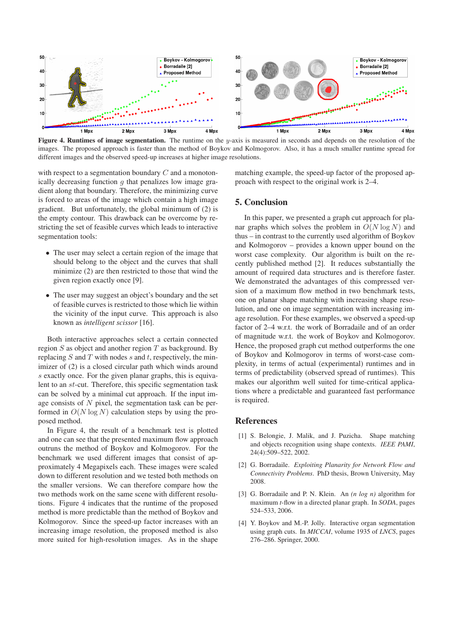

**Figure 4. Runtimes of image segmentation.** The runtime on the y-axis is measured in seconds and depends on the resolution of the images. The proposed approach is faster than the method of Boykov and Kolmogorov. Also, it has a much smaller runtime spread for different images and the observed speed-up increases at higher image resolutions.

with respect to a segmentation boundary C and a monotonically decreasing function  $q$  that penalizes low image gradient along that boundary. Therefore, the minimizing curve is forced to areas of the image which contain a high image gradient. But unfortunately, the global minimum of (2) is the empty contour. This drawback can be overcome by restricting the set of feasible curves which leads to interactive segmentation tools:

- The user may select a certain region of the image that should belong to the object and the curves that shall minimize (2) are then restricted to those that wind the given region exactly once [9].
- The user may suggest an object's boundary and the set of feasible curves is restricted to those which lie within the vicinity of the input curve. This approach is also known as *intelligent scissor* [16].

Both interactive approaches select a certain connected region  $S$  as object and another region  $T$  as background. By replacing  $S$  and  $T$  with nodes  $s$  and  $t$ , respectively, the minimizer of (2) is a closed circular path which winds around s exactly once. For the given planar graphs, this is equivalent to an st-cut. Therefore, this specific segmentation task can be solved by a minimal cut approach. If the input image consists of  $N$  pixel, the segmentation task can be performed in  $O(N \log N)$  calculation steps by using the proposed method.

In Figure 4, the result of a benchmark test is plotted and one can see that the presented maximum flow approach outruns the method of Boykov and Kolmogorov. For the benchmark we used different images that consist of approximately 4 Megapixels each. These images were scaled down to different resolution and we tested both methods on the smaller versions. We can therefore compare how the two methods work on the same scene with different resolutions. Figure 4 indicates that the runtime of the proposed method is more predictable than the method of Boykov and Kolmogorov. Since the speed-up factor increases with an increasing image resolution, the proposed method is also more suited for high-resolution images. As in the shape matching example, the speed-up factor of the proposed approach with respect to the original work is 2–4.

# **5. Conclusion**

In this paper, we presented a graph cut approach for planar graphs which solves the problem in  $O(N \log N)$  and thus – in contrast to the currently used algorithm of Boykov and Kolmogorov – provides a known upper bound on the worst case complexity. Our algorithm is built on the recently published method [2]. It reduces substantially the amount of required data structures and is therefore faster. We demonstrated the advantages of this compressed version of a maximum flow method in two benchmark tests, one on planar shape matching with increasing shape resolution, and one on image segmentation with increasing image resolution. For these examples, we observed a speed-up factor of 2–4 w.r.t. the work of Borradaile and of an order of magnitude w.r.t. the work of Boykov and Kolmogorov. Hence, the proposed graph cut method outperforms the one of Boykov and Kolmogorov in terms of worst-case complexity, in terms of actual (experimental) runtimes and in terms of predictability (observed spread of runtimes). This makes our algorithm well suited for time-critical applications where a predictable and guaranteed fast performance is required.

# **References**

- [1] S. Belongie, J. Malik, and J. Puzicha. Shape matching and objects recognition using shape contexts. *IEEE PAMI*, 24(4):509–522, 2002.
- [2] G. Borradaile. *Exploiting Planarity for Network Flow and Connectivity Problems*. PhD thesis, Brown University, May 2008.
- [3] G. Borradaile and P. N. Klein. An *(n log n)* algorithm for maximum *t*-flow in a directed planar graph. In *SODA*, pages 524–533, 2006.
- [4] Y. Boykov and M.-P. Jolly. Interactive organ segmentation using graph cuts. In *MICCAI*, volume 1935 of *LNCS*, pages 276–286. Springer, 2000.